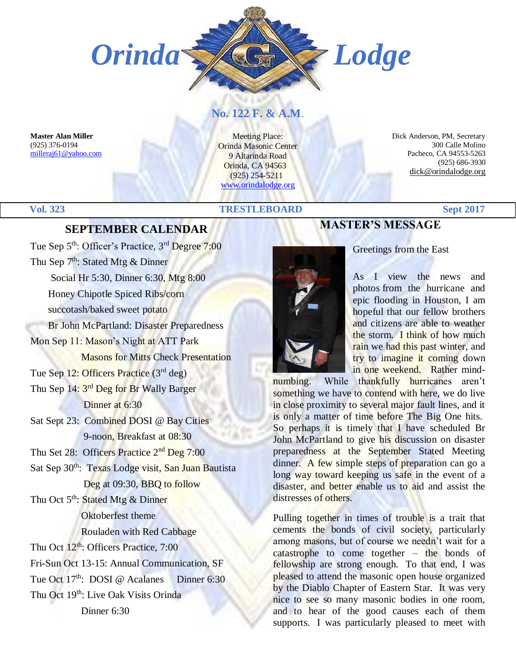

### **No. 122 F. & A.M**.

**Master Alan Miller** (925) 376-0194 [milleraj61@yahoo.com](mailto:milleraj61@yahoo.com)

Meeting Place: Orinda Masonic Center 9 Altarinda Road Orinda, CA 94563 (925) 254-5211 [www.orindalodge.org](http://www.orindalodge.org/)

 Dick Anderson, PM, Secretary 300 Calle Molino Pacheco, CA 94553-5263 (925) 686-3930 dick@orindalodge.org

#### **Vol. 323 TRESTLEBOARD Sept 2017**

#### **SEPTEMBER CALENDAR**

Tue Sep 5<sup>th</sup>: Officer's Practice, 3<sup>rd</sup> Degree 7:00 Thu Sep  $7^{th}$ : Stated Mtg & Dinner Social Hr 5:30, Dinner 6:30, Mtg 8:00 Honey Chipotle Spiced Ribs/corn succotash/baked sweet potato Br John McPartland: Disaster Preparedness Mon Sep 11: Mason's Night at ATT Park Masons for Mitts Check Presentation Tue Sep 12: Officers Practice (3rd deg) Thu Sep 14: 3<sup>rd</sup> Deg for Br Wally Barger Dinner at 6:30 Sat Sept 23: Combined DOSI @ Bay Cities 9-noon, Breakfast at 08:30 Thu Set 28: Officers Practice 2<sup>nd</sup> Deg 7:00 Sat Sep 30<sup>th</sup>: Texas Lodge visit, San Juan Bautista Deg at 09:30, BBQ to follow Thu Oct 5<sup>th</sup>: Stated Mtg & Dinner Oktoberfest theme Rouladen with Red Cabbage Thu Oct 12<sup>th</sup>: Officers Practice, 7:00 Fri-Sun Oct 13-15: Annual Communication, SF Tue Oct 17<sup>th</sup>: DOSI @ Acalanes Dinner 6:30 Thu Oct 19<sup>th</sup>: Live Oak Visits Orinda Dinner 6:30

## **MASTER'S MESSAGE**



Greetings from the East

As I view the news and photos from the hurricane and epic flooding in Houston, I am hopeful that our fellow brothers and citizens are able to weather the storm. I think of how much rain we had this past winter, and try to imagine it coming down in one weekend. Rather mind-

numbing. While thankfully hurricanes aren't something we have to contend with here, we do live in close proximity to several major fault lines, and it is only a matter of time before The Big One hits. So perhaps it is timely that I have scheduled Br John McPartland to give his discussion on disaster preparedness at the September Stated Meeting dinner. A few simple steps of preparation can go a long way toward keeping us safe in the event of a disaster, and better enable us to aid and assist the distresses of others.

Pulling together in times of trouble is a trait that cements the bonds of civil society, particularly among masons, but of course we needn't wait for a catastrophe to come together – the bonds of fellowship are strong enough. To that end, I was pleased to attend the masonic open house organized by the Diablo Chapter of Eastern Star. It was very nice to see so many masonic bodies in one room, and to hear of the good causes each of them supports. I was particularly pleased to meet with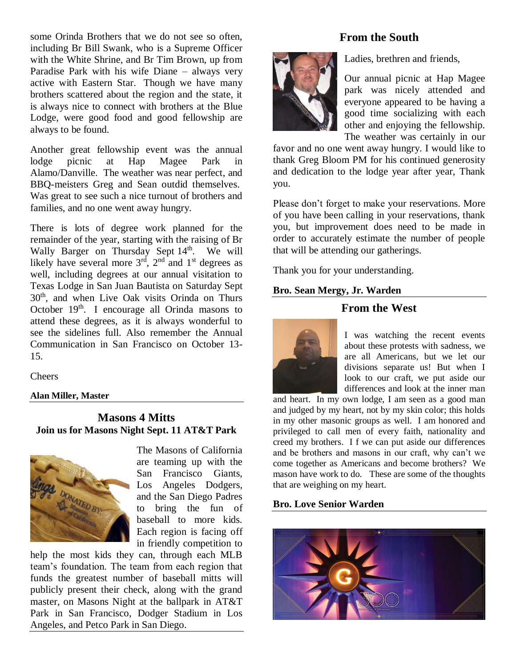some Orinda Brothers that we do not see so often, including Br Bill Swank, who is a Supreme Officer with the White Shrine, and Br Tim Brown, up from Paradise Park with his wife Diane – always very active with Eastern Star. Though we have many brothers scattered about the region and the state, it is always nice to connect with brothers at the Blue Lodge, were good food and good fellowship are always to be found.

Another great fellowship event was the annual lodge picnic at Hap Magee Park in Alamo/Danville. The weather was near perfect, and BBQ-meisters Greg and Sean outdid themselves. Was great to see such a nice turnout of brothers and families, and no one went away hungry.

There is lots of degree work planned for the remainder of the year, starting with the raising of Br Wally Barger on Thursday Sept 14<sup>th</sup>. We will likely have several more  $3<sup>rd</sup>$ ,  $2<sup>nd</sup>$  and  $1<sup>st</sup>$  degrees as well, including degrees at our annual visitation to Texas Lodge in San Juan Bautista on Saturday Sept 30th, and when Live Oak visits Orinda on Thurs October 19<sup>th</sup>. I encourage all Orinda masons to attend these degrees, as it is always wonderful to see the sidelines full. Also remember the Annual Communication in San Francisco on October 13- 15.

**Cheers** 

#### **Alan Miller, Master**

**Masons 4 Mitts Join us for Masons Night Sept. 11 AT&T Park**



The Masons of California are teaming up with the San Francisco Giants, Los Angeles Dodgers, and the San Diego Padres to bring the fun of baseball to more kids. Each region is facing off in friendly competition to

help the most kids they can, through each MLB team's foundation. The team from each region that funds the greatest number of baseball mitts will publicly present their check, along with the grand master, on Masons Night at the ballpark in AT&T Park in San Francisco, Dodger Stadium in Los Angeles, and Petco Park in San Diego.

#### **From the South**



Ladies, brethren and friends,

Our annual picnic at Hap Magee park was nicely attended and everyone appeared to be having a good time socializing with each other and enjoying the fellowship. The weather was certainly in our

favor and no one went away hungry. I would like to thank Greg Bloom PM for his continued generosity and dedication to the lodge year after year, Thank you.

Please don't forget to make your reservations. More of you have been calling in your reservations, thank you, but improvement does need to be made in order to accurately estimate the number of people that will be attending our gatherings.

Thank you for your understanding.

#### **Bro. Sean Mergy, Jr. Warden**

#### **From the West**



I was watching the recent events about these protests with sadness, we are all Americans, but we let our divisions separate us! But when I look to our craft, we put aside our differences and look at the inner man

and heart. In my own lodge, I am seen as a good man and judged by my heart, not by my skin color; this holds in my other masonic groups as well. I am honored and privileged to call men of every faith, nationality and creed my brothers. I f we can put aside our differences and be brothers and masons in our craft, why can't we come together as Americans and become brothers? We mason have work to do. These are some of the thoughts that are weighing on my heart.

#### **Bro. Love Senior Warden**

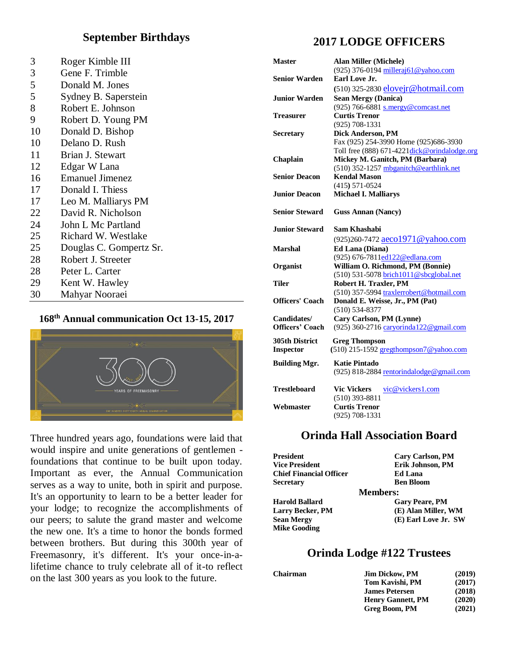#### **September Birthdays**

| 3  | Roger Kimble III        |
|----|-------------------------|
| 3  | Gene F. Trimble         |
| 5  | Donald M. Jones         |
| 5  | Sydney B. Saperstein    |
| 8  | Robert E. Johnson       |
| 9  | Robert D. Young PM      |
| 10 | Donald D. Bishop        |
| 10 | Delano D. Rush          |
| 11 | Brian J. Stewart        |
| 12 | Edgar W Lana            |
| 16 | <b>Emanuel Jimenez</b>  |
| 17 | Donald I. Thiess        |
| 17 | Leo M. Malliarys PM     |
| 22 | David R. Nicholson      |
| 24 | John L Mc Partland      |
| 25 | Richard W. Westlake     |
| 25 | Douglas C. Gompertz Sr. |
| 28 | Robert J. Streeter      |
| 28 | Peter L. Carter         |
| 29 | Kent W. Hawley          |
| 30 | Mahyar Nooraei          |

#### **168th Annual communication Oct 13-15, 2017**



Three hundred years ago, foundations were laid that would inspire and unite generations of gentlemen foundations that continue to be built upon today. Important as ever, the Annual Communication serves as a way to unite, both in spirit and purpose. It's an opportunity to learn to be a better leader for your lodge; to recognize the accomplishments of our peers; to salute the grand master and welcome the new one. It's a time to honor the bonds formed between brothers. But during this 300th year of Freemasonry, it's different. It's your once-in-alifetime chance to truly celebrate all of it-to reflect on the last 300 years as you look to the future.

### **2017 LODGE OFFICERS**

| <b>Master</b>          | <b>Alan Miller (Michele)</b><br>(925) 376-0194 milleraj61@yahoo.com |
|------------------------|---------------------------------------------------------------------|
| <b>Senior Warden</b>   | Earl Love Jr.                                                       |
|                        | (510) 325-2830 elovejr@hotmail.com                                  |
| <b>Junior Warden</b>   | <b>Sean Mergy (Danica)</b>                                          |
|                        | (925) 766-6881 s.mergy@comcast.net                                  |
| Treasurer              | <b>Curtis Trenor</b>                                                |
|                        | $(925) 708 - 1331$                                                  |
| <b>Secretary</b>       | Dick Anderson, PM                                                   |
|                        | Fax (925) 254-3990 Home (925)686-3930                               |
|                        | Toll free (888) 671-4221 dick@orindalodge.org                       |
| Chaplain               | Mickey M. Ganitch, PM (Barbara)                                     |
|                        | (510) 352-1257 mbganitch@earthlink.net                              |
| <b>Senior Deacon</b>   | <b>Kendal Mason</b>                                                 |
|                        | $(415) 571 - 0524$                                                  |
| Junior Deacon          | <b>Michael I. Malliarys</b>                                         |
|                        |                                                                     |
| <b>Senior Steward</b>  | <b>Guss Annan (Nancy)</b>                                           |
| Junior Steward.        | Sam Khashabi                                                        |
|                        | (925)260-7472 aeco1971@yahoo.com                                    |
| Marshal                | Ed Lana (Diana)                                                     |
|                        | (925) 676-7811ed122@edlana.com                                      |
| Organist               | William O. Richmond, PM (Bonnie)                                    |
|                        | (510) 531-5078 brich1011@sbcglobal.net                              |
| Tiler                  | Robert H. Traxler, PM                                               |
|                        | (510) 357-5994 traxlerrobert@hotmail.com                            |
| <b>Officers' Coach</b> | Donald E. Weisse, Jr., PM (Pat)                                     |
|                        | (510) 534-8377                                                      |
| Candidates/            | Cary Carlson, PM (Lynne)                                            |
| <b>Officers' Coach</b> | (925) 360-2716 caryorinda122@gmail.com                              |
| <b>305th District</b>  | <b>Greg Thompson</b>                                                |
| <b>Inspector</b>       | (510) 215-1592 gregthompson7@yahoo.com                              |
|                        |                                                                     |
| <b>Building Mgr.</b>   | Katie Pintado                                                       |
|                        | (925) 818-2884 rentorindalodge@gmail.com                            |
| <b>Trestleboard</b>    | <b>Vic Vickers</b><br>vic@vickers1.com                              |
|                        | $(510)$ 393-8811                                                    |
| Webmaster              | <b>Curtis Trenor</b>                                                |
|                        | $(925) 708 - 1331$                                                  |
|                        |                                                                     |

#### **Orinda Hall Association Board**

| President                      | <b>Cary Carlson, PM</b> |
|--------------------------------|-------------------------|
| <b>Vice President</b>          | Erik Johnson, PM        |
| <b>Chief Financial Officer</b> | Ed Lana                 |
| Secretary                      | <b>Ben Bloom</b>        |
|                                | <b>Members:</b>         |
| <b>Harold Ballard</b>          | <b>Gary Peare, PM</b>   |
| <b>Larry Becker, PM</b>        | (E) Alan Miller, WM     |
| <b>Sean Mergy</b>              | (E) Earl Love Jr. SW    |
| <b>Mike Gooding</b>            |                         |

#### **Orinda Lodge #122 Trustees**

| Chairman | <b>Jim Dickow, PM</b>    | (2019) |
|----------|--------------------------|--------|
|          | Tom Kavishi, PM          | (2017) |
|          | <b>James Petersen</b>    | (2018) |
|          | <b>Henry Gannett, PM</b> | (2020) |
|          | Greg Boom, PM            | (2021) |
|          |                          |        |